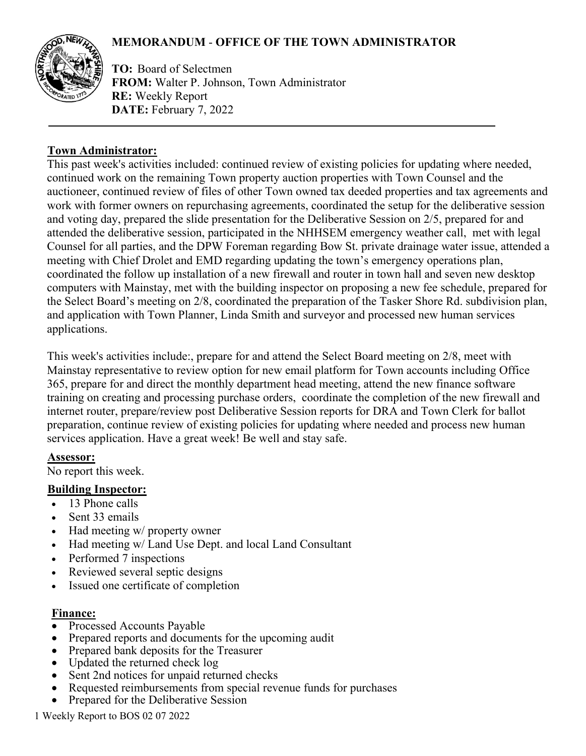# **MEMORANDUM** - **OFFICE OF THE TOWN ADMINISTRATOR**



**TO:** Board of Selectmen **FROM:** Walter P. Johnson, Town Administrator **RE:** Weekly Report **DATE:** February 7, 2022

## **Town Administrator:**

This past week's activities included: continued review of existing policies for updating where needed, continued work on the remaining Town property auction properties with Town Counsel and the auctioneer, continued review of files of other Town owned tax deeded properties and tax agreements and work with former owners on repurchasing agreements, coordinated the setup for the deliberative session and voting day, prepared the slide presentation for the Deliberative Session on 2/5, prepared for and attended the deliberative session, participated in the NHHSEM emergency weather call, met with legal Counsel for all parties, and the DPW Foreman regarding Bow St. private drainage water issue, attended a meeting with Chief Drolet and EMD regarding updating the town's emergency operations plan, coordinated the follow up installation of a new firewall and router in town hall and seven new desktop computers with Mainstay, met with the building inspector on proposing a new fee schedule, prepared for the Select Board's meeting on 2/8, coordinated the preparation of the Tasker Shore Rd. subdivision plan, and application with Town Planner, Linda Smith and surveyor and processed new human services applications.

This week's activities include:, prepare for and attend the Select Board meeting on 2/8, meet with Mainstay representative to review option for new email platform for Town accounts including Office 365, prepare for and direct the monthly department head meeting, attend the new finance software training on creating and processing purchase orders, coordinate the completion of the new firewall and internet router, prepare/review post Deliberative Session reports for DRA and Town Clerk for ballot preparation, continue review of existing policies for updating where needed and process new human services application. Have a great week! Be well and stay safe.

#### **Assessor:**

No report this week.

#### **Building Inspector:**

- 13 Phone calls
- Sent 33 emails
- Had meeting w/ property owner
- Had meeting w/ Land Use Dept. and local Land Consultant
- Performed 7 inspections
- Reviewed several septic designs
- Issued one certificate of completion

# **Finance:**

- Processed Accounts Payable
- Prepared reports and documents for the upcoming audit
- Prepared bank deposits for the Treasurer
- Updated the returned check log
- Sent 2nd notices for unpaid returned checks
- Requested reimbursements from special revenue funds for purchases
- Prepared for the Deliberative Session

1 Weekly Report to BOS 02 07 2022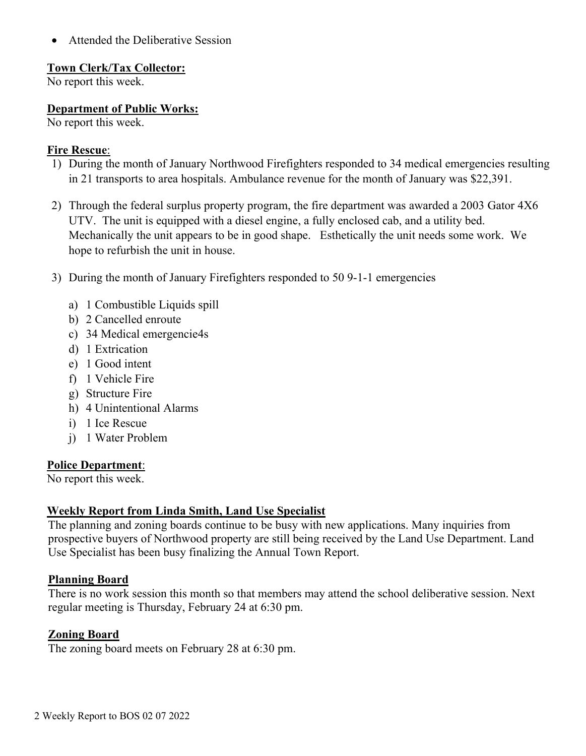• Attended the Deliberative Session

#### **Town Clerk/Tax Collector:**

No report this week.

## **Department of Public Works:**

No report this week.

#### **Fire Rescue**:

- 1) During the month of January Northwood Firefighters responded to 34 medical emergencies resulting in 21 transports to area hospitals. Ambulance revenue for the month of January was \$22,391.
- 2) Through the federal surplus property program, the fire department was awarded a 2003 Gator 4X6 UTV. The unit is equipped with a diesel engine, a fully enclosed cab, and a utility bed. Mechanically the unit appears to be in good shape. Esthetically the unit needs some work. We hope to refurbish the unit in house.
- 3) During the month of January Firefighters responded to 50 9-1-1 emergencies
	- a) 1 Combustible Liquids spill
	- b) 2 Cancelled enroute
	- c) 34 Medical emergencie4s
	- d) 1 Extrication
	- e) 1 Good intent
	- f) 1 Vehicle Fire
	- g) Structure Fire
	- h) 4 Unintentional Alarms
	- i) 1 Ice Rescue
	- j) 1 Water Problem

#### **Police Department**:

No report this week.

# **Weekly Report from Linda Smith, Land Use Specialist**

The planning and zoning boards continue to be busy with new applications. Many inquiries from prospective buyers of Northwood property are still being received by the Land Use Department. Land Use Specialist has been busy finalizing the Annual Town Report.

#### **Planning Board**

There is no work session this month so that members may attend the school deliberative session. Next regular meeting is Thursday, February 24 at 6:30 pm.

# **Zoning Board**

The zoning board meets on February 28 at 6:30 pm.